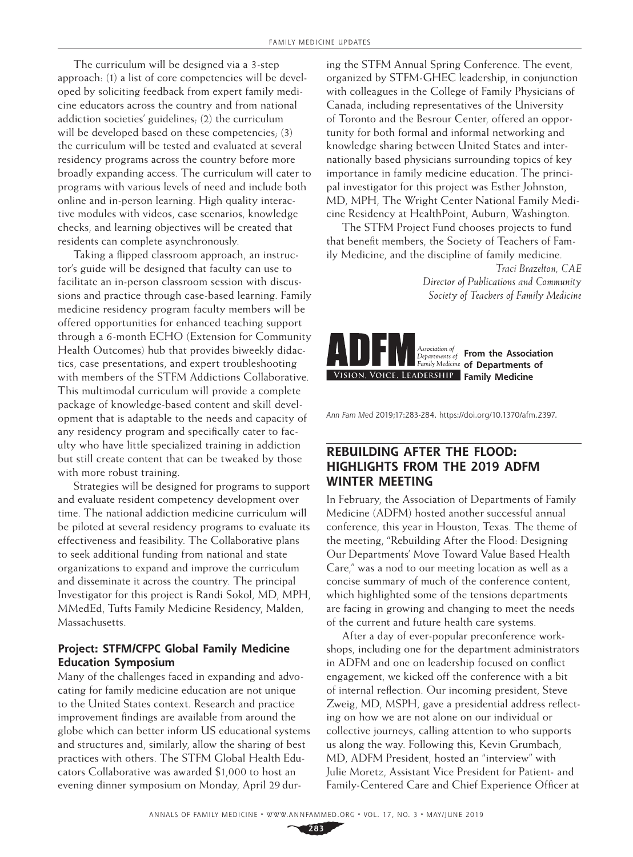The curriculum will be designed via a 3-step approach: (1) a list of core competencies will be developed by soliciting feedback from expert family medicine educators across the country and from national addiction societies' guidelines; (2) the curriculum will be developed based on these competencies; (3) the curriculum will be tested and evaluated at several residency programs across the country before more broadly expanding access. The curriculum will cater to programs with various levels of need and include both online and in-person learning. High quality interactive modules with videos, case scenarios, knowledge checks, and learning objectives will be created that residents can complete asynchronously.

Taking a flipped classroom approach, an instructor's guide will be designed that faculty can use to facilitate an in-person classroom session with discussions and practice through case-based learning. Family medicine residency program faculty members will be offered opportunities for enhanced teaching support through a 6-month ECHO (Extension for Community Health Outcomes) hub that provides biweekly didactics, case presentations, and expert troubleshooting with members of the STFM Addictions Collaborative. This multimodal curriculum will provide a complete package of knowledge-based content and skill development that is adaptable to the needs and capacity of any residency program and specifically cater to faculty who have little specialized training in addiction but still create content that can be tweaked by those with more robust training.

Strategies will be designed for programs to support and evaluate resident competency development over time. The national addiction medicine curriculum will be piloted at several residency programs to evaluate its effectiveness and feasibility. The Collaborative plans to seek additional funding from national and state organizations to expand and improve the curriculum and disseminate it across the country. The principal Investigator for this project is Randi Sokol, MD, MPH, MMedEd, Tufts Family Medicine Residency, Malden, Massachusetts.

## **Project: STFM/CFPC Global Family Medicine Education Symposium**

Many of the challenges faced in expanding and advocating for family medicine education are not unique to the United States context. Research and practice improvement findings are available from around the globe which can better inform US educational systems and structures and, similarly, allow the sharing of best practices with others. The STFM Global Health Educators Collaborative was awarded \$1,000 to host an evening dinner symposium on Monday, April 29 during the STFM Annual Spring Conference. The event, organized by STFM-GHEC leadership, in conjunction with colleagues in the College of Family Physicians of Canada, including representatives of the University of Toronto and the Besrour Center, offered an opportunity for both formal and informal networking and knowledge sharing between United States and internationally based physicians surrounding topics of key importance in family medicine education. The principal investigator for this project was Esther Johnston, MD, MPH, The Wright Center National Family Medicine Residency at HealthPoint, Auburn, Washington.

The STFM Project Fund chooses projects to fund that benefit members, the Society of Teachers of Family Medicine, and the discipline of family medicine.

> *Traci Brazelton, CAE Director of Publications and Community Society of Teachers of Family Medicine*



*Ann Fam Med* 2019;17:283-284. <https://doi.org/10.1370/afm.2397>.

## **REBUILDING AFTER THE FLOOD: HIGHLIGHTS FROM THE 2019 ADFM WINTER MEETING**

In February, the Association of Departments of Family Medicine (ADFM) hosted another successful annual conference, this year in Houston, Texas. The theme of the meeting, "Rebuilding After the Flood: Designing Our Departments' Move Toward Value Based Health Care," was a nod to our meeting location as well as a concise summary of much of the conference content, which highlighted some of the tensions departments are facing in growing and changing to meet the needs of the current and future health care systems.

After a day of ever-popular preconference workshops, including one for the department administrators in ADFM and one on leadership focused on conflict engagement, we kicked off the conference with a bit of internal reflection. Our incoming president, Steve Zweig, MD, MSPH, gave a presidential address reflecting on how we are not alone on our individual or collective journeys, calling attention to who supports us along the way. Following this, Kevin Grumbach, MD, ADFM President, hosted an "interview" with Julie Moretz, Assistant Vice President for Patient- and Family-Centered Care and Chief Experience Officer at